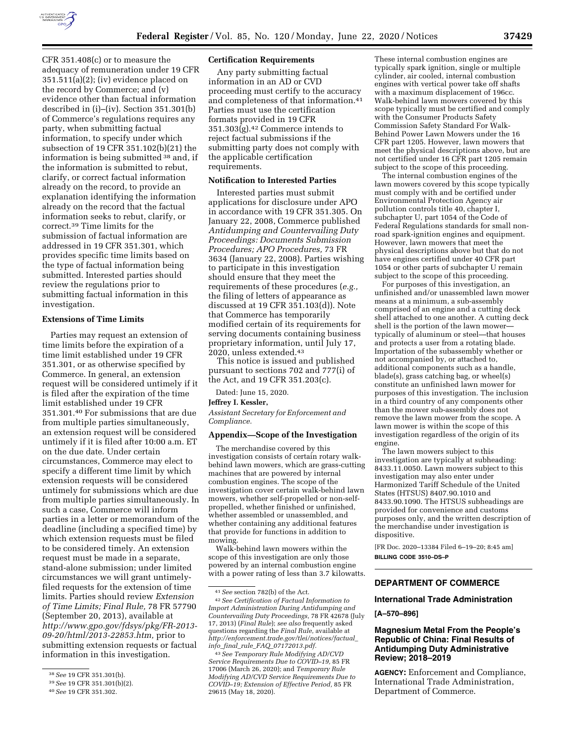

CFR 351.408(c) or to measure the adequacy of remuneration under 19 CFR  $351.511(a)(2)$ ; (iv) evidence placed on the record by Commerce; and (v) evidence other than factual information described in (i)–(iv). Section 351.301(b) of Commerce's regulations requires any party, when submitting factual information, to specify under which subsection of 19 CFR 351.102(b)(21) the information is being submitted 38 and, if the information is submitted to rebut, clarify, or correct factual information already on the record, to provide an explanation identifying the information already on the record that the factual information seeks to rebut, clarify, or correct.39 Time limits for the submission of factual information are addressed in 19 CFR 351.301, which provides specific time limits based on the type of factual information being submitted. Interested parties should review the regulations prior to submitting factual information in this investigation.

## **Extensions of Time Limits**

Parties may request an extension of time limits before the expiration of a time limit established under 19 CFR 351.301, or as otherwise specified by Commerce. In general, an extension request will be considered untimely if it is filed after the expiration of the time limit established under 19 CFR 351.301.40 For submissions that are due from multiple parties simultaneously, an extension request will be considered untimely if it is filed after 10:00 a.m. ET on the due date. Under certain circumstances, Commerce may elect to specify a different time limit by which extension requests will be considered untimely for submissions which are due from multiple parties simultaneously. In such a case, Commerce will inform parties in a letter or memorandum of the deadline (including a specified time) by which extension requests must be filed to be considered timely. An extension request must be made in a separate, stand-alone submission; under limited circumstances we will grant untimelyfiled requests for the extension of time limits. Parties should review *Extension of Time Limits; Final Rule,* 78 FR 57790 (September 20, 2013), available at *[http://www.gpo.gov/fdsys/pkg/FR-2013-](http://www.gpo.gov/fdsys/pkg/FR-2013-09-20/html/2013-22853.htm) [09-20/html/2013-22853.htm,](http://www.gpo.gov/fdsys/pkg/FR-2013-09-20/html/2013-22853.htm)* prior to submitting extension requests or factual information in this investigation.

#### **Certification Requirements**

Any party submitting factual information in an AD or CVD proceeding must certify to the accuracy and completeness of that information.41 Parties must use the certification formats provided in 19 CFR  $351.303(g).42$  Commerce intends to reject factual submissions if the submitting party does not comply with the applicable certification requirements.

### **Notification to Interested Parties**

Interested parties must submit applications for disclosure under APO in accordance with 19 CFR 351.305. On January 22, 2008, Commerce published *Antidumping and Countervailing Duty Proceedings: Documents Submission Procedures; APO Procedures,* 73 FR 3634 (January 22, 2008). Parties wishing to participate in this investigation should ensure that they meet the requirements of these procedures (*e.g.,*  the filing of letters of appearance as discussed at 19 CFR 351.103(d)). Note that Commerce has temporarily modified certain of its requirements for serving documents containing business proprietary information, until July 17, 2020, unless extended.43

This notice is issued and published pursuant to sections 702 and 777(i) of the Act, and 19 CFR 351.203(c).

Dated: June 15, 2020.

#### **Jeffrey I. Kessler,**

*Assistant Secretary for Enforcement and Compliance.* 

#### **Appendix—Scope of the Investigation**

The merchandise covered by this investigation consists of certain rotary walkbehind lawn mowers, which are grass-cutting machines that are powered by internal combustion engines. The scope of the investigation cover certain walk-behind lawn mowers, whether self-propelled or non-selfpropelled, whether finished or unfinished, whether assembled or unassembled, and whether containing any additional features that provide for functions in addition to mowing.

Walk-behind lawn mowers within the scope of this investigation are only those powered by an internal combustion engine with a power rating of less than 3.7 kilowatts.

These internal combustion engines are typically spark ignition, single or multiple cylinder, air cooled, internal combustion engines with vertical power take off shafts with a maximum displacement of 196cc. Walk-behind lawn mowers covered by this scope typically must be certified and comply with the Consumer Products Safety Commission Safety Standard For Walk-Behind Power Lawn Mowers under the 16 CFR part 1205. However, lawn mowers that meet the physical descriptions above, but are not certified under 16 CFR part 1205 remain subject to the scope of this proceeding.

The internal combustion engines of the lawn mowers covered by this scope typically must comply with and be certified under Environmental Protection Agency air pollution controls title 40, chapter I, subchapter U, part 1054 of the Code of Federal Regulations standards for small nonroad spark-ignition engines and equipment. However, lawn mowers that meet the physical descriptions above but that do not have engines certified under 40 CFR part 1054 or other parts of subchapter U remain subject to the scope of this proceeding.

For purposes of this investigation, an unfinished and/or unassembled lawn mower means at a minimum, a sub-assembly comprised of an engine and a cutting deck shell attached to one another. A cutting deck shell is the portion of the lawn mower typically of aluminum or steel—that houses and protects a user from a rotating blade. Importation of the subassembly whether or not accompanied by, or attached to, additional components such as a handle, blade(s), grass catching bag, or wheel(s) constitute an unfinished lawn mower for purposes of this investigation. The inclusion in a third country of any components other than the mower sub-assembly does not remove the lawn mower from the scope. A lawn mower is within the scope of this investigation regardless of the origin of its engine.

The lawn mowers subject to this investigation are typically at subheading: 8433.11.0050. Lawn mowers subject to this investigation may also enter under Harmonized Tariff Schedule of the United States (HTSUS) 8407.90.1010 and 8433.90.1090. The HTSUS subheadings are provided for convenience and customs purposes only, and the written description of the merchandise under investigation is dispositive.

[FR Doc. 2020–13384 Filed 6–19–20; 8:45 am] **BILLING CODE 3510–DS–P** 

# **DEPARTMENT OF COMMERCE**

## **International Trade Administration**

**[A–570–896]** 

# **Magnesium Metal From the People's Republic of China: Final Results of Antidumping Duty Administrative Review; 2018–2019**

**AGENCY:** Enforcement and Compliance, International Trade Administration, Department of Commerce.

<sup>38</sup>*See* 19 CFR 351.301(b).

<sup>39</sup>*See* 19 CFR 351.301(b)(2).

<sup>40</sup>*See* 19 CFR 351.302.

<sup>41</sup>*See* section 782(b) of the Act.

<sup>42</sup>*See Certification of Factual Information to Import Administration During Antidumping and Countervailing Duty Proceedings,* 78 FR 42678 (July 17, 2013) (*Final Rule*); *see also* frequently asked questions regarding the *Final Rule,* available at *[http://enforcement.trade.gov/tlei/notices/factual](http://enforcement.trade.gov/tlei/notices/factual_info_final_rule_FAQ_07172013.pdf)*\_ *info*\_*final*\_*rule*\_*FAQ*\_*[07172013.pdf.](http://enforcement.trade.gov/tlei/notices/factual_info_final_rule_FAQ_07172013.pdf)* 

<sup>43</sup>*See Temporary Rule Modifying AD/CVD Service Requirements Due to COVID–19,* 85 FR 17006 (March 26, 2020); and *Temporary Rule Modifying AD/CVD Service Requirements Due to COVID–19; Extension of Effective Period,* 85 FR 29615 (May 18, 2020).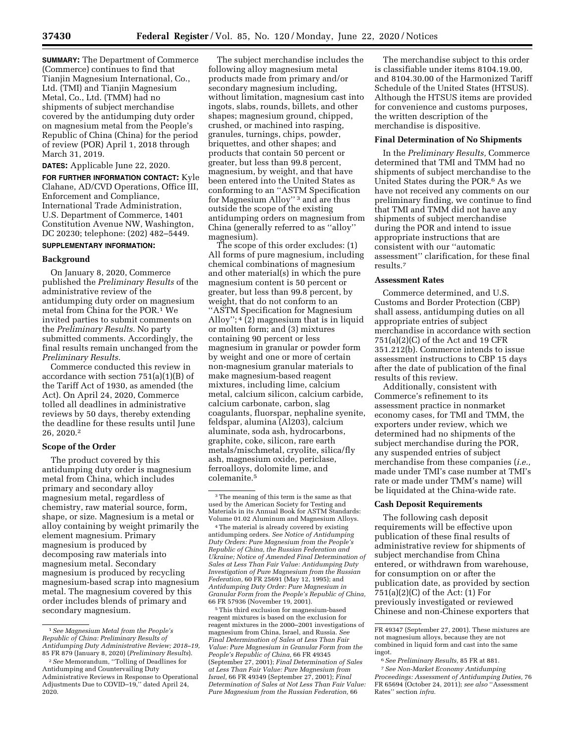**SUMMARY:** The Department of Commerce (Commerce) continues to find that Tianjin Magnesium International, Co., Ltd. (TMI) and Tianjin Magnesium Metal, Co., Ltd. (TMM) had no shipments of subject merchandise covered by the antidumping duty order on magnesium metal from the People's Republic of China (China) for the period of review (POR) April 1, 2018 through March 31, 2019.

**DATES:** Applicable June 22, 2020.

**FOR FURTHER INFORMATION CONTACT:** Kyle Clahane, AD/CVD Operations, Office III, Enforcement and Compliance, International Trade Administration, U.S. Department of Commerce, 1401 Constitution Avenue NW, Washington, DC 20230; telephone: (202) 482–5449.

### **SUPPLEMENTARY INFORMATION:**

#### **Background**

On January 8, 2020, Commerce published the *Preliminary Results* of the administrative review of the antidumping duty order on magnesium metal from China for the POR.1 We invited parties to submit comments on the *Preliminary Results.* No party submitted comments. Accordingly, the final results remain unchanged from the *Preliminary Results.* 

Commerce conducted this review in accordance with section 751(a)(1)(B) of the Tariff Act of 1930, as amended (the Act). On April 24, 2020, Commerce tolled all deadlines in administrative reviews by 50 days, thereby extending the deadline for these results until June 26, 2020.2

### **Scope of the Order**

The product covered by this antidumping duty order is magnesium metal from China, which includes primary and secondary alloy magnesium metal, regardless of chemistry, raw material source, form, shape, or size. Magnesium is a metal or alloy containing by weight primarily the element magnesium. Primary magnesium is produced by decomposing raw materials into magnesium metal. Secondary magnesium is produced by recycling magnesium-based scrap into magnesium metal. The magnesium covered by this order includes blends of primary and secondary magnesium.

The subject merchandise includes the following alloy magnesium metal products made from primary and/or secondary magnesium including, without limitation, magnesium cast into ingots, slabs, rounds, billets, and other shapes; magnesium ground, chipped, crushed, or machined into rasping, granules, turnings, chips, powder, briquettes, and other shapes; and products that contain 50 percent or greater, but less than 99.8 percent, magnesium, by weight, and that have been entered into the United States as conforming to an ''ASTM Specification for Magnesium Alloy'' 3 and are thus outside the scope of the existing antidumping orders on magnesium from China (generally referred to as ''alloy'' magnesium).

The scope of this order excludes: (1) All forms of pure magnesium, including chemical combinations of magnesium and other material(s) in which the pure magnesium content is 50 percent or greater, but less than 99.8 percent, by weight, that do not conform to an ''ASTM Specification for Magnesium Alloy";  $4(2)$  magnesium that is in liquid or molten form; and (3) mixtures containing 90 percent or less magnesium in granular or powder form by weight and one or more of certain non-magnesium granular materials to make magnesium-based reagent mixtures, including lime, calcium metal, calcium silicon, calcium carbide, calcium carbonate, carbon, slag coagulants, fluorspar, nephaline syenite, feldspar, alumina (Al203), calcium aluminate, soda ash, hydrocarbons, graphite, coke, silicon, rare earth metals/mischmetal, cryolite, silica/fly ash, magnesium oxide, periclase, ferroalloys, dolomite lime, and colemanite.5

5This third exclusion for magnesium-based reagent mixtures is based on the exclusion for reagent mixtures in the 2000–2001 investigations of magnesium from China, Israel, and Russia. *See Final Determination of Sales at Less Than Fair Value: Pure Magnesium in Granular Form from the People's Republic of China,* 66 FR 49345 (September 27, 2001); *Final Determination of Sales at Less Than Fair Value: Pure Magnesium from Israel,* 66 FR 49349 (September 27, 2001); *Final Determination of Sales at Not Less Than Fair Value: Pure Magnesium from the Russian Federation,* 66

The merchandise subject to this order is classifiable under items 8104.19.00, and 8104.30.00 of the Harmonized Tariff Schedule of the United States (HTSUS). Although the HTSUS items are provided for convenience and customs purposes, the written description of the merchandise is dispositive.

#### **Final Determination of No Shipments**

In the *Preliminary Results,* Commerce determined that TMI and TMM had no shipments of subject merchandise to the United States during the POR.6 As we have not received any comments on our preliminary finding, we continue to find that TMI and TMM did not have any shipments of subject merchandise during the POR and intend to issue appropriate instructions that are consistent with our ''automatic assessment'' clarification, for these final results.7

### **Assessment Rates**

Commerce determined, and U.S. Customs and Border Protection (CBP) shall assess, antidumping duties on all appropriate entries of subject merchandise in accordance with section 751(a)(2)(C) of the Act and 19 CFR 351.212(b). Commerce intends to issue assessment instructions to CBP 15 days after the date of publication of the final results of this review.

Additionally, consistent with Commerce's refinement to its assessment practice in nonmarket economy cases, for TMI and TMM, the exporters under review, which we determined had no shipments of the subject merchandise during the POR, any suspended entries of subject merchandise from these companies (*i.e.,*  made under TMI's case number at TMI's rate or made under TMM's name) will be liquidated at the China-wide rate.

## **Cash Deposit Requirements**

The following cash deposit requirements will be effective upon publication of these final results of administrative review for shipments of subject merchandise from China entered, or withdrawn from warehouse, for consumption on or after the publication date, as provided by section 751(a)(2)(C) of the Act: (1) For previously investigated or reviewed Chinese and non-Chinese exporters that

<sup>1</sup>*See Magnesium Metal from the People's Republic of China: Preliminary Results of Antidumping Duty Administrative Review; 2018–19,*  85 FR 879 (January 8, 2020) (*Preliminary Results*).

<sup>2</sup>*See* Memorandum, ''Tolling of Deadlines for Antidumping and Countervailing Duty Administrative Reviews in Response to Operational Adjustments Due to COVID–19,'' dated April 24, 2020.

<sup>3</sup>The meaning of this term is the same as that used by the American Society for Testing and Materials in its Annual Book for ASTM Standards: Volume 01.02 Aluminum and Magnesium Alloys.

<sup>4</sup>The material is already covered by existing antidumping orders. *See Notice of Antidumping Duty Orders: Pure Magnesium from the People's Republic of China, the Russian Federation and Ukraine; Notice of Amended Final Determination of Sales at Less Than Fair Value: Antidumping Duty Investigation of Pure Magnesium from the Russian Federation,* 60 FR 25691 (May 12, 1995); and *Antidumping Duty Order: Pure Magnesium in Granular Form from the People's Republic of China,*  66 FR 57936 (November 19, 2001).

FR 49347 (September 27, 2001). These mixtures are not magnesium alloys, because they are not combined in liquid form and cast into the same ingot.

<sup>6</sup>*See Preliminary Results,* 85 FR at 881.

<sup>7</sup>*See Non-Market Economy Antidumping Proceedings: Assessment of Antidumping Duties,* 76 FR 65694 (October 24, 2011); *see also* ''Assessment Rates'' section *infra.*